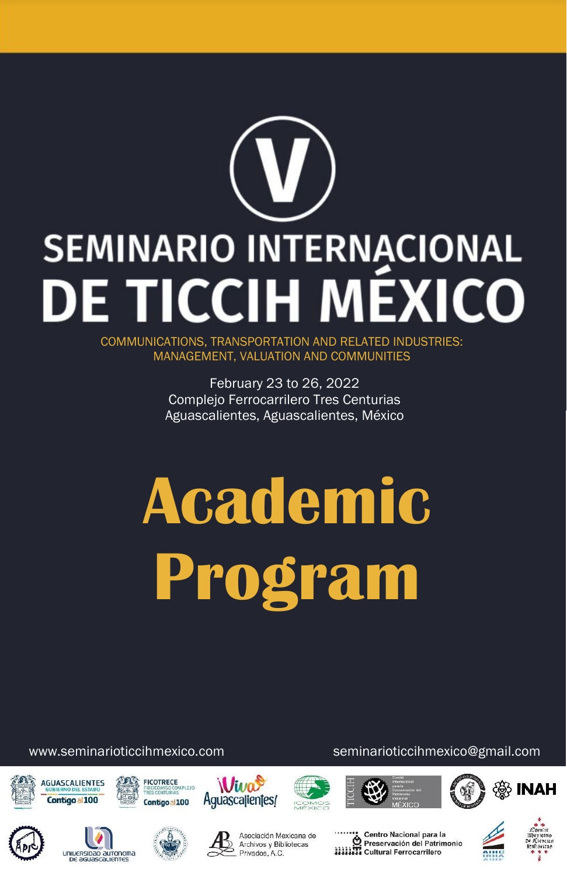# **SEMINARIO INTERNACIONAL DE TICCIH MÉXICO**

COMMUNICATIONS, TRANSPORTATION AND RELATED INDUSTRIES: MANAGEMENT, VALUATION AND COMMUNITIES

> February 23 to 26, 2022 Complejo Ferrocarrilero Tres Centurias Aguascalientes, Aguascalientes, México

# **Academic Program**

www.seminarioticcihmexico.com seminarioticcihmexico@gmail.com





uniuersipap autonoma DE AGUASCALIENTES





















Asociación Mexicana de Archivos y Bibliotecas Privados, A.C.

Centro Nacional para la<br>Di Preservación del Patrimonio<br>XIIII Cultural Ferrocarrilero



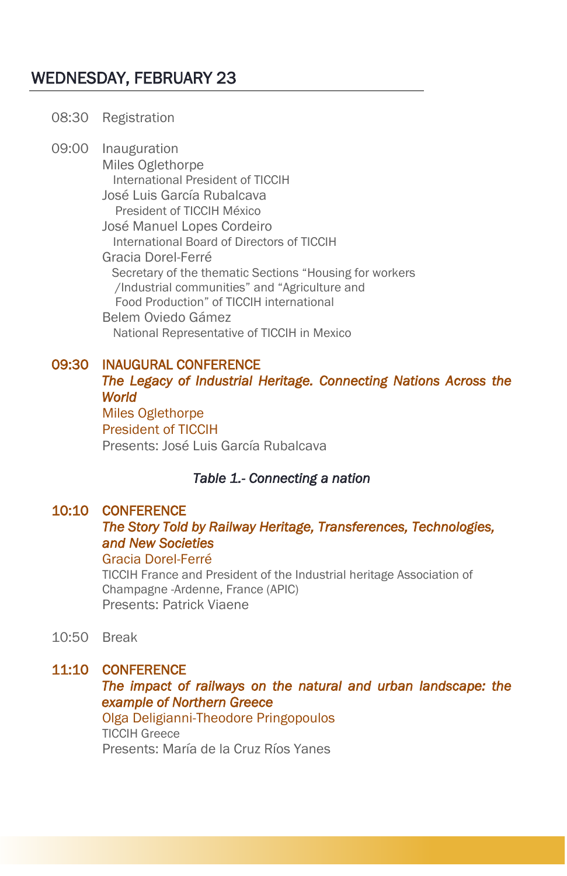# WEDNESDAY, FEBRUARY 23

#### 08:30 Registration

09:00 Inauguration Miles Oglethorpe International President of TICCIH José Luis García Rubalcava President of TICCIH México José Manuel Lopes Cordeiro International Board of Directors of TICCIH Gracia Dorel-Ferré Secretary of the thematic Sections "Housing for workers /Industrial communities" and "Agriculture and Food Production" of TICCIH international Belem Oviedo Gámez National Representative of TICCIH in Mexico

#### 09:30 INAUGURAL CONFERENCE

## *The Legacy of Industrial Heritage. Connecting Nations Across the World* Miles Oglethorpe

President of TICCIH Presents: José Luis García Rubalcava

#### *Table 1.- Connecting a nation*

#### 10:10 CONFERENCE

#### *The Story Told by Railway Heritage, Transferences, Technologies, and New Societies*

#### Gracia Dorel-Ferré

TICCIH France and President of the Industrial heritage Association of Champagne -Ardenne, France (APIC) Presents: Patrick Viaene

10:50 Break

#### 11:10 CONFERENCE

*The impact of railways on the natural and urban landscape: the example of Northern Greece* 

 Olga Deligianni-Theodore Pringopoulos TICCIH Greece Presents: María de la Cruz Ríos Yanes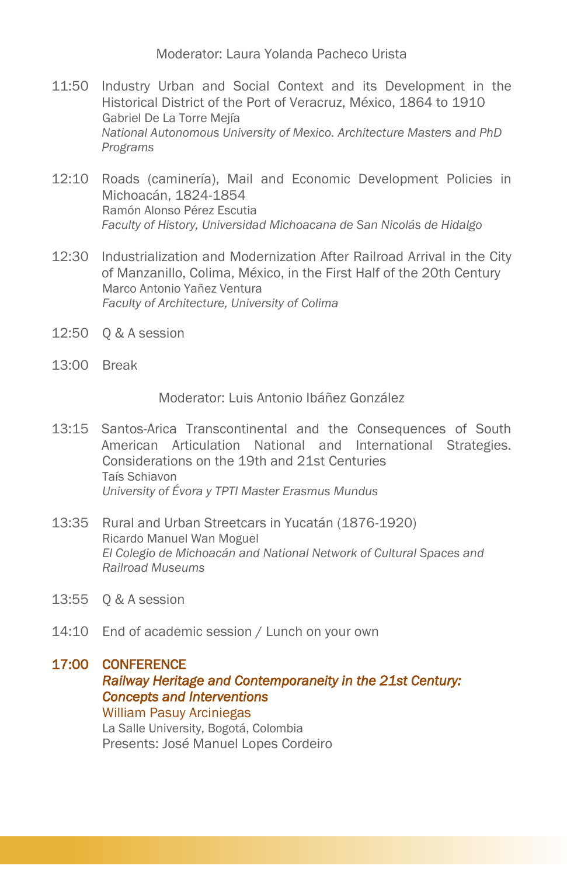Moderator: Laura Yolanda Pacheco Urista

- 11:50 Industry Urban and Social Context and its Development in the Historical District of the Port of Veracruz, México, 1864 to 1910 Gabriel De La Torre Mejía *National Autonomous University of Mexico. Architecture Masters and PhD Programs*
- 12:10 Roads (caminería), Mail and Economic Development Policies in Michoacán, 1824-1854 Ramón Alonso Pérez Escutia *Faculty of History, Universidad Michoacana de San Nicolás de Hidalgo*
- 12:30 Industrialization and Modernization After Railroad Arrival in the City of Manzanillo, Colima, México, in the First Half of the 20th Century Marco Antonio Yañez Ventura *Faculty of Architecture, University of Colima*
- 12:50 Q & A session
- 13:00 Break

Moderator: Luis Antonio Ibáñez González

- 13:15 Santos-Arica Transcontinental and the Consequences of South American Articulation National and International Strategies. Considerations on the 19th and 21st Centuries Taís Schiavon *University of Évora y TPTI Master Erasmus Mundus*
- 13:35 Rural and Urban Streetcars in Yucatán (1876-1920) Ricardo Manuel Wan Moguel *El Colegio de Michoacán and National Network of Cultural Spaces and Railroad Museums*
- 13:55 Q & A session
- 14:10 End of academic session / Lunch on your own

#### 17:00 CONFERENCE

#### *Railway Heritage and Contemporaneity in the 21st Century: Concepts and Interventions*

William Pasuy Arciniegas La Salle University, Bogotá, Colombia Presents: José Manuel Lopes Cordeiro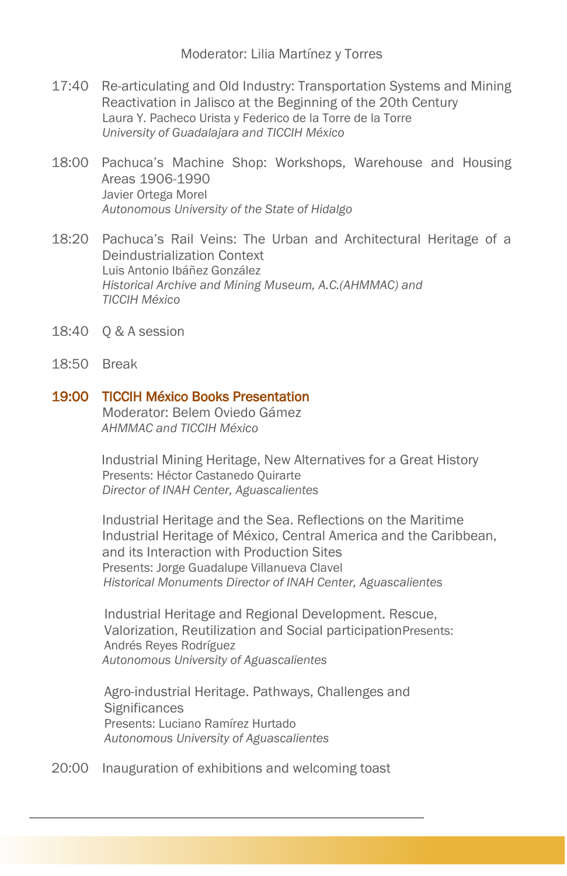Moderator: Lilia Martínez y Torres

- 17:40 Re-articulating and Old Industry: Transportation Systems and Mining Reactivation in Jalisco at the Beginning of the 20th Century Laura Y. Pacheco Urista y Federico de la Torre de la Torre *University of Guadalajara and TICCIH México*
- 18:00 Pachuca's Machine Shop: Workshops, Warehouse and Housing Areas 1906-1990 Javier Ortega Morel *Autonomous University of the State of Hidalgo*
- 18:20 Pachuca's Rail Veins: The Urban and Architectural Heritage of a Deindustrialization Context Luis Antonio Ibáñez González *Historical Archive and Mining Museum, A.C.(AHMMAC) and TICCIH México*
- 18:40 Q & A session
- 18:50 Break

#### 19:00 TICCIH México Books Presentation

Moderator: Belem Oviedo Gámez *AHMMAC and TICCIH México*

Industrial Mining Heritage, New Alternatives for a Great History Presents: Héctor Castanedo Quirarte *Director of INAH Center, Aguascalientes*

Industrial Heritage and the Sea. Reflections on the Maritime Industrial Heritage of México, Central America and the Caribbean, and its Interaction with Production Sites Presents: Jorge Guadalupe Villanueva Clavel  *Historical Monuments Director of INAH Center, Aguascalientes*

Industrial Heritage and Regional Development. Rescue, Valorization, Reutilization and Social participationPresents: Andrés Reyes Rodríguez *Autonomous University of Aguascalientes*

Agro-industrial Heritage. Pathways, Challenges and **Significances** Presents: Luciano Ramírez Hurtado *Autonomous University of Aguascalientes*

20:00 Inauguration of exhibitions and welcoming toast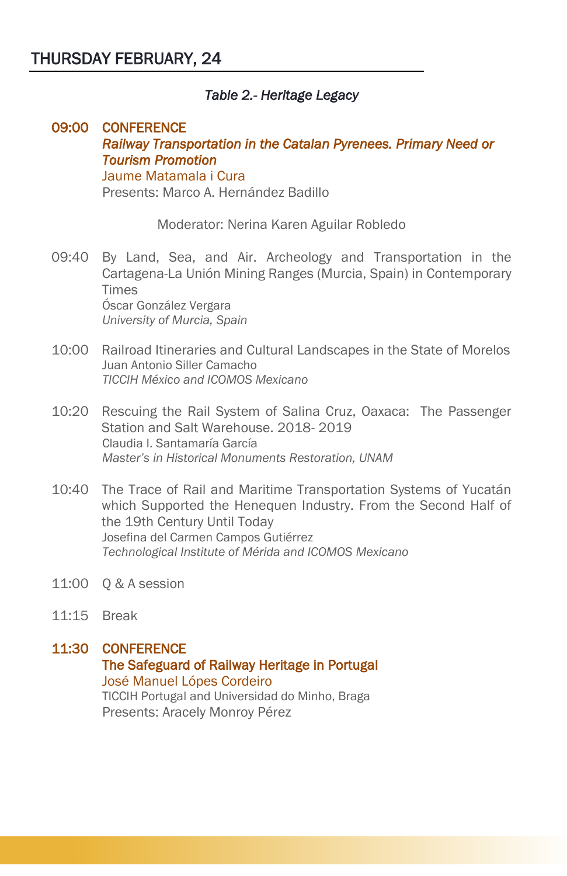#### *Table 2.- Heritage Legacy*

#### 09:00 CONFERENCE *Railway Transportation in the Catalan Pyrenees. Primary Need or Tourism Promotion*  Jaume Matamala i Cura Presents: Marco A. Hernández Badillo

Moderator: Nerina Karen Aguilar Robledo

- 09:40 By Land, Sea, and Air. Archeology and Transportation in the Cartagena-La Unión Mining Ranges (Murcia, Spain) in Contemporary Times Óscar González Vergara *University of Murcia, Spain*
- 10:00 Railroad Itineraries and Cultural Landscapes in the State of Morelos Juan Antonio Siller Camacho *TICCIH México and ICOMOS Mexicano*
- 10:20 Rescuing the Rail System of Salina Cruz, Oaxaca: The Passenger Station and Salt Warehouse. 2018- 2019 Claudia I. Santamaría García *Master's in Historical Monuments Restoration, UNAM*
- 10:40 The Trace of Rail and Maritime Transportation Systems of Yucatán which Supported the Henequen Industry. From the Second Half of the 19th Century Until Today Josefina del Carmen Campos Gutiérrez *Technological Institute of Mérida and ICOMOS Mexicano*
- 11:00 Q & A session
- 11:15 Break

#### 11:30 CONFERENCE The Safeguard of Railway Heritage in Portugal José Manuel Lópes Cordeiro TICCIH Portugal and Universidad do Minho, Braga Presents: Aracely Monroy Pérez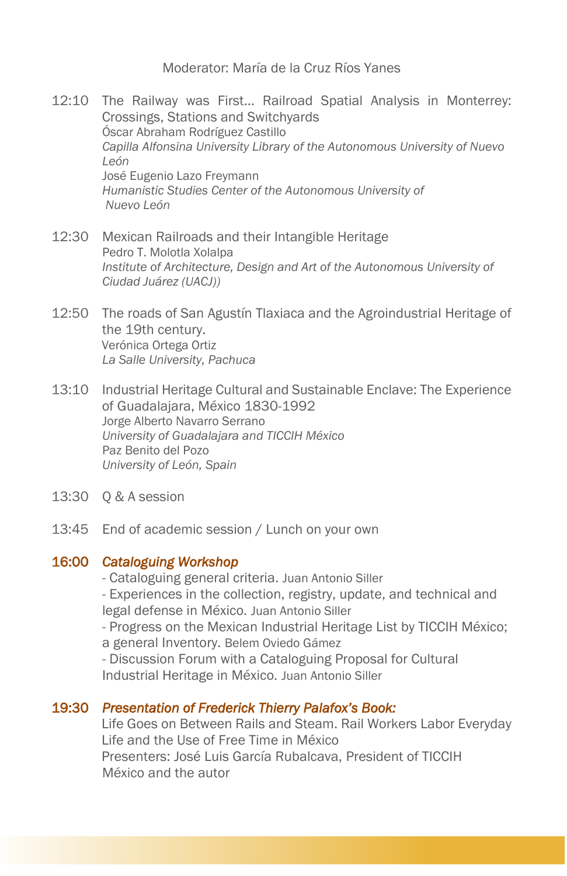Moderator: María de la Cruz Ríos Yanes

- 12:10 The Railway was First… Railroad Spatial Analysis in Monterrey: Crossings, Stations and Switchyards Óscar Abraham Rodríguez Castillo *Capilla Alfonsina University Library of the Autonomous University of Nuevo León*  José Eugenio Lazo Freymann *Humanistic Studies Center of the Autonomous University of Nuevo León*
- 12:30 Mexican Railroads and their Intangible Heritage Pedro T. Molotla Xolalpa *Institute of Architecture, Design and Art of the Autonomous University of Ciudad Juárez (UACJ))*
- 12:50 The roads of San Agustín Tlaxiaca and the Agroindustrial Heritage of the 19th century. Verónica Ortega Ortiz *La Salle University, Pachuca*
- 13:10 Industrial Heritage Cultural and Sustainable Enclave: The Experience of Guadalajara, México 1830-1992 Jorge Alberto Navarro Serrano *University of Guadalajara and TICCIH México* Paz Benito del Pozo *University of León, Spain*
- 13:30 Q & A session
- 13:45 End of academic session / Lunch on your own

#### 16:00 *Cataloguing Workshop*

- Cataloguing general criteria. Juan Antonio Siller - Experiences in the collection, registry, update, and technical and legal defense in México. Juan Antonio Siller

- Progress on the Mexican Industrial Heritage List by TICCIH México; a general Inventory. Belem Oviedo Gámez

- Discussion Forum with a Cataloguing Proposal for Cultural Industrial Heritage in México. Juan Antonio Siller

#### 19:30 *Presentation of Frederick Thierry Palafox's Book:*

Life Goes on Between Rails and Steam. Rail Workers Labor Everyday Life and the Use of Free Time in México Presenters: José Luis García Rubalcava, President of TICCIH México and the autor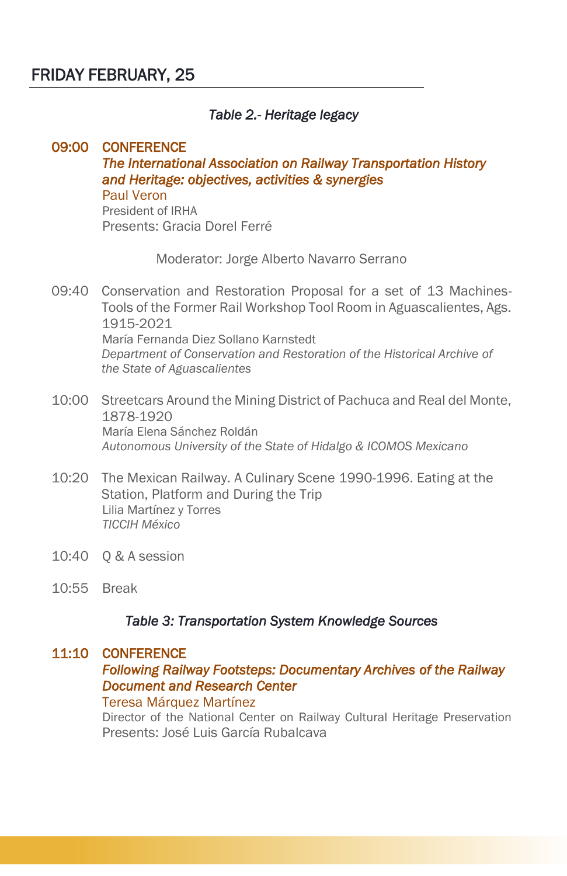# FRIDAY FEBRUARY, 25

#### *Table 2.- Heritage legacy*

#### 09:00 CONFERENCE *The International Association on Railway Transportation History and Heritage: objectives, activities & synergies*  Paul Veron President of IRHA

Presents: Gracia Dorel Ferré

Moderator: Jorge Alberto Navarro Serrano

- 09:40 Conservation and Restoration Proposal for a set of 13 Machines-Tools of the Former Rail Workshop Tool Room in Aguascalientes, Ags. 1915-2021 María Fernanda Diez Sollano Karnstedt *Department of Conservation and Restoration of the Historical Archive of the State of Aguascalientes*
- 10:00 Streetcars Around the Mining District of Pachuca and Real del Monte, 1878-1920 María Elena Sánchez Roldán *Autonomous University of the State of Hidalgo & ICOMOS Mexicano*
- 10:20 The Mexican Railway. A Culinary Scene 1990-1996. Eating at the Station, Platform and During the Trip Lilia Martínez y Torres *TICCIH México*
- 10:40 Q & A session
- 10:55 Break

#### *Table 3: Transportation System Knowledge Sources*

#### 11:10 CONFERENCE

#### *Following Railway Footsteps: Documentary Archives of the Railway Document and Research Center*

#### Teresa Márquez Martínez

Director of the National Center on Railway Cultural Heritage Preservation Presents: José Luis García Rubalcava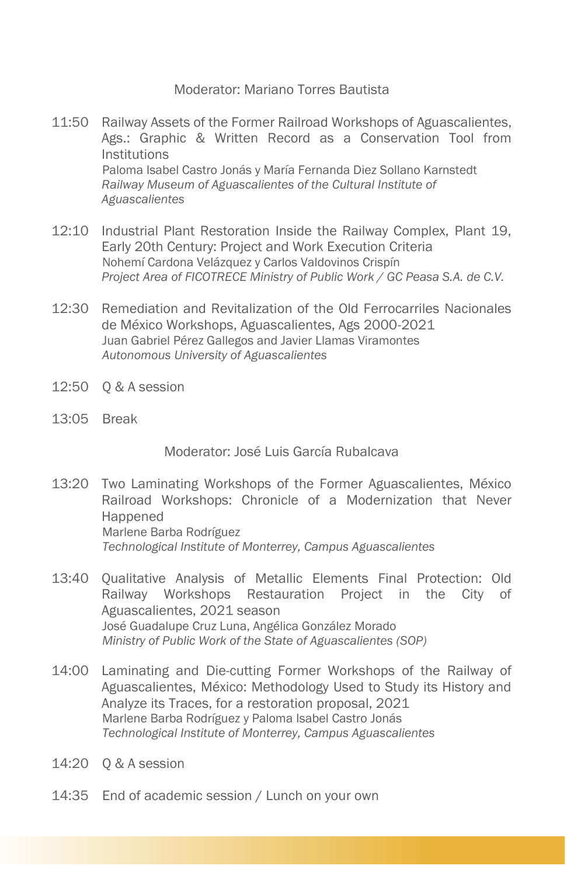#### Moderator: Mariano Torres Bautista

- 11:50 Railway Assets of the Former Railroad Workshops of Aguascalientes, Ags.: Graphic & Written Record as a Conservation Tool from Institutions Paloma Isabel Castro Jonás y María Fernanda Diez Sollano Karnstedt *Railway Museum of Aguascalientes of the Cultural Institute of Aguascalientes*
- 12:10 Industrial Plant Restoration Inside the Railway Complex, Plant 19, Early 20th Century: Project and Work Execution Criteria Nohemí Cardona Velázquez y Carlos Valdovinos Crispín *Project Area of FICOTRECE Ministry of Public Work / GC Peasa S.A. de C.V.*
- 12:30 Remediation and Revitalization of the Old Ferrocarriles Nacionales de México Workshops, Aguascalientes, Ags 2000-2021 Juan Gabriel Pérez Gallegos and Javier Llamas Viramontes *Autonomous University of Aguascalientes*
- 12:50 Q & A session
- 13:05 Break

Moderator: José Luis García Rubalcava

- 13:20 Two Laminating Workshops of the Former Aguascalientes, México Railroad Workshops: Chronicle of a Modernization that Never Happened Marlene Barba Rodríguez *Technological Institute of Monterrey, Campus Aguascalientes*
- 13:40 Qualitative Analysis of Metallic Elements Final Protection: Old Railway Workshops Restauration Project in the City of Aguascalientes, 2021 season José Guadalupe Cruz Luna, Angélica González Morado *Ministry of Public Work of the State of Aguascalientes (SOP)*
- 14:00 Laminating and Die-cutting Former Workshops of the Railway of Aguascalientes, México: Methodology Used to Study its History and Analyze its Traces, for a restoration proposal, 2021 Marlene Barba Rodríguez y Paloma Isabel Castro Jonás *Technological Institute of Monterrey, Campus Aguascalientes*
- 14:20 Q & A session
- 14:35 End of academic session / Lunch on your own